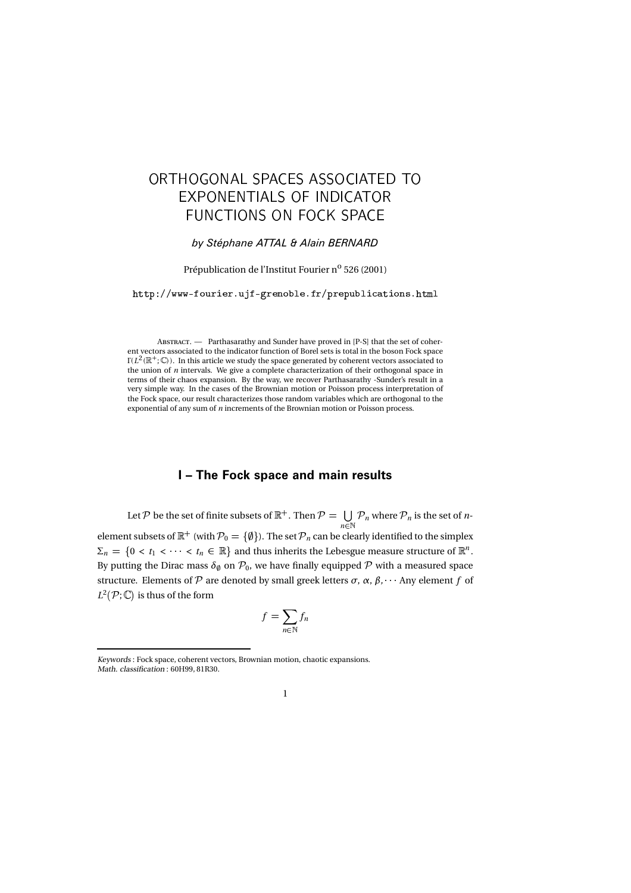# - - - -    - -

### by Stéphane ATTAL & Alain BERNARD

## Prépublication de l'Institut Fourier n<sup>o</sup> 526 (2001)

http://www-fourier.ujf-grenoble.fr/prepublications.html

A - Parthasarathy and Sunder have proved in [P-S] that the set of coherent vectors associated to the indicator function of Borel sets is total in the boson Fock space  $\Gamma(L^2(\mathbb{R}^+; \mathbb{C}))$ . In this article we study the space generated by coherent vectors associated to the union of n intervals. We give a complete characterization of their orthogonal space in terms of their chaos expansion. By the way, we recover Parthasarathy -Sunder's result in a very simple way. In the cases of the Brownian motion or Poisson process interpretation of the Fock space, our result characterizes those random variables which are orthogonal to the exponential of any sum of  $\sqrt{n}$  increments of the Brownian motion or Poisson process.

### I – The Fock space and main results

Let  $\mathcal P$  be the set of finite subsets of  $\mathbb R^+$  . Then  $\mathcal P = \bigcup \ {\mathcal P}_n$  where  $\mathcal P_n$  i  $\bigcup_{n \in \mathbb{N}} \mathcal{P}_n$  where  $\mathcal{P}_n$  is the set of *n*element subsets of  $\mathbb{R}^+$  (with  $\mathcal{P}_0 = \{\emptyset\}$ ). The set  $\mathcal{P}_n$  can be clearly identified to the simplex  $\Sigma_n = \{0 < t_1 < \cdots < t_n \in \mathbb{R}\}$  and thus inherits the Lebesgue measure structure of  $\mathbb{R}^n$ . By putting the Dirac mass  $\delta_{\emptyset}$  on  $\mathcal{P}_{0}$ , we have finally equipped  $\mathcal{P}$  with a measured space structure. Elements of  $\mathcal P$  are denoted by small greek letters  $\sigma$ ,  $\alpha$ ,  $\beta$ ,  $\cdots$  Any element f of  $L^2(\mathcal{P};\mathbb{C})$  is thus of the form

$$
f = \sum_{n \in \mathbb{N}} f_n
$$

Keywords : Fock space, coherent vectors, Brownian motion, chaotic expansions. Math. classification : 60H99, 81R30.

<sup>1</sup>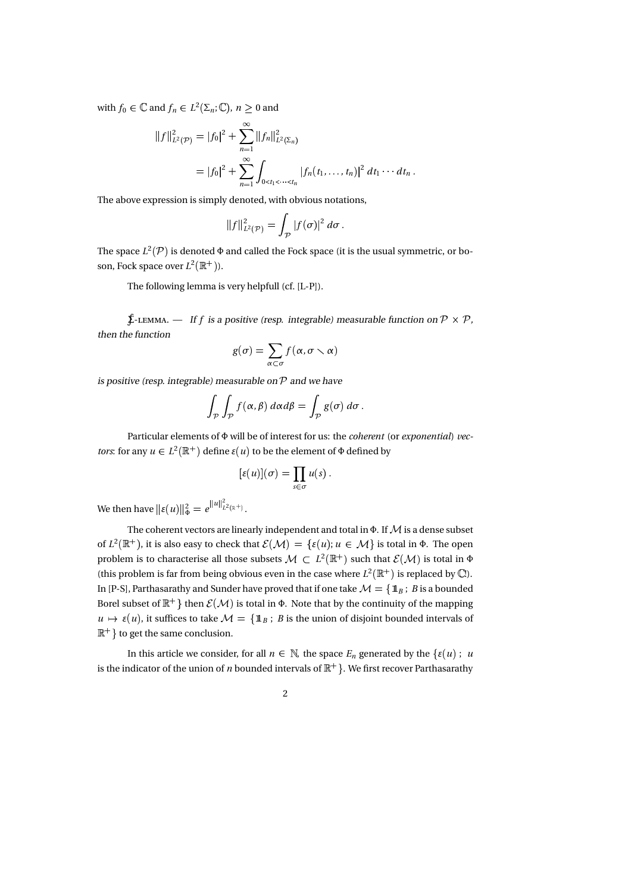with  $f_0 \in \mathbb{C}$  and  $f_n \in L^2(\Sigma_n; \mathbb{C}),\, n \geq 0$  and

$$
||f||_{L^{2}(\mathcal{P})}^{2} = |f_{0}|^{2} + \sum_{n=1}^{\infty} ||f_{n}||_{L^{2}(\Sigma_{n})}^{2}
$$
  
=  $|f_{0}|^{2} + \sum_{n=1}^{\infty} \int_{0 < t_{1} < \cdots < t_{n}} |f_{n}(t_{1},...,t_{n})|^{2} dt_{1} \cdots dt_{n}.$ 

The above expression is simply denoted, with obvious notations,

$$
||f||_{L^2(\mathcal{P})}^2 = \int_{\mathcal{P}} |f(\sigma)|^2 d\sigma.
$$

The space  $L^2(\mathcal{P})$  is denoted  $\Phi$  and called the Fock space (it is the usual symmetric, or boson, Fock space over  $L^2(\mathbb R^+)$ ).

The following lemma is very helpfull (cf. [L-P]).

 $\oint$ -. — If f is a positive (resp. integrable) measurable function on  $P \times P$ , then the function

$$
g(\sigma) = \sum_{\alpha \subset \sigma} f(\alpha, \sigma \smallsetminus \alpha)
$$

is positive (resp. integrable) measurable on  $P$  and we have

$$
\int_{\mathcal{P}} \int_{\mathcal{P}} f(\alpha, \beta) \, d\alpha d\beta = \int_{\mathcal{P}} g(\sigma) \, d\sigma \, .
$$

Particular elements of Φ will be of interest for us: the coherent (or exponential) vec*tors*: for any  $u \in L^2(\mathbb{R}^+)$  define  $\varepsilon(u)$  to be the element of  $\Phi$  defined by

$$
[\varepsilon(u)](\sigma) = \prod_{s \in \sigma} u(s) .
$$

We then have  $\|\varepsilon(u)\|_\Phi^2 = e^{\|u\|_{L^2(\mathbb{R}^+)}^2}.$  $L^2(\mathbb{R}^+)$ .

The coherent vectors are linearly independent and total in  $\Phi$ . If  $\mathcal M$  is a dense subset of  $L^2(\mathbb{R}^+)$ , it is also easy to check that  $\mathcal{E}(\mathcal{M}) = {\varepsilon(u)}$ ;  $u \in \mathcal{M}$  is total in  $\Phi$ . The open problem is to characterise all those subsets  $\mathcal{M} \subset L^2(\mathbb{R}^+)$  such that  $\mathcal{E}(\mathcal{M})$  is total in  $\Phi$ (this problem is far from being obvious even in the case where  $L^2(\mathbb{R}^+)$  is replaced by  $\mathbb{C}$ ). In [P-S], Parthasarathy and Sunder have proved that if one take  $\mathcal{M} = {\mathbb{1}_B}$ ; B is a bounded Borel subset of  $\mathbb{R}^+$  then  $\mathcal{E}(\mathcal{M})$  is total in  $\Phi$ . Note that by the continuity of the mapping  $u \mapsto \varepsilon(u)$ , it suffices to take  $\mathcal{M} = \{\mathbb{1}_B : B$  is the union of disjoint bounded intervals of  $\mathbb{R}^+$  to get the same conclusion.

In this article we consider, for all  $n \in \mathbb{N}$ , the space  $E_n$  generated by the  $\{\varepsilon(u) : u\}$ is the indicator of the union of *n* bounded intervals of  $\mathbb{R}^+$ . We first recover Parthasarathy

2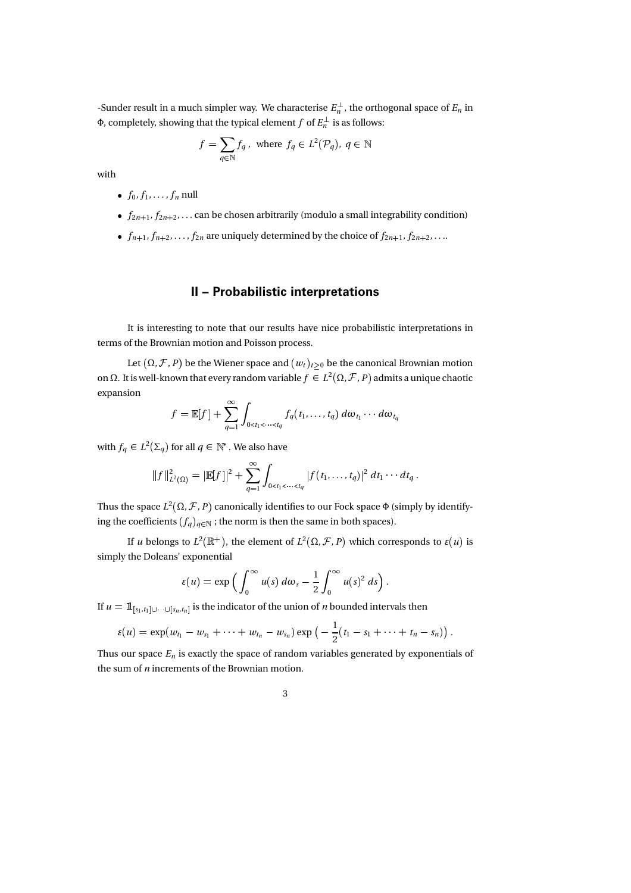-Sunder result in a much simpler way. We characterise  $E_n^{\perp}$ , the orthogonal space of  $E_n$  in Φ, completely, showing that the typical element  $f$  of  $E_n^{\perp}$  is as follows:

$$
f = \sum_{q \in \mathbb{N}} f_q \, , \text{ where } f_q \in L^2(\mathcal{P}_q), \, q \in \mathbb{N}
$$

with

- $f_0, f_1, \ldots, f_n$  null
- $f_{2n+1}, f_{2n+2}, \ldots$  can be chosen arbitrarily (modulo a small integrability condition)
- $\bullet$   $f_{n+1}, f_{n+2}, \ldots, f_{2n}$  are uniquely determined by the choice of  $f_{2n+1}, f_{2n+2}, \ldots$

# II – Probabilistic interpretations

It is interesting to note that our results have nice probabilistic interpretations in terms of the Brownian motion and Poisson process.

Let  $(\Omega, \mathcal{F}, P)$  be the Wiener space and  $(w_t)_{t \geq 0}$  be the canonical Brownian motion on Ω. It is well-known that every random variable  $f \in L^2(\Omega, \mathcal{F}, P)$  admits a unique chaotic expansion

$$
f = \mathbb{E}[f] + \sum_{q=1}^{\infty} \int_{0 < t_1 < \cdots < t_q} f_q(t_1, \ldots, t_q) \, d\omega_{t_1} \cdots d\omega_{t_q}
$$

with  $f_q \in L^2(\Sigma_q)$  for all  $q \in \mathbb{N}^*$  . We also have

$$
||f||_{L^{2}(\Omega)}^{2} = |\mathbb{E}[f]|^{2} + \sum_{q=1}^{\infty} \int_{0 < t_{1} < \cdots < t_{q}} |f(t_{1},...,t_{q})|^{2} dt_{1} \cdots dt_{q}.
$$

Thus the space  $L^2(\Omega, \mathcal{F}, P)$  canonically identifies to our Fock space  $\Phi$  (simply by identifying the coefficients  $(f_q)_{q \in \mathbb{N}}$  ; the norm is then the same in both spaces).

If *u* belongs to  $L^2(\mathbb{R}^+)$ , the element of  $L^2(\Omega, \mathcal{F}, P)$  which corresponds to  $\varepsilon(u)$  is simply the Doleans' exponential

$$
\varepsilon(u) = \exp\left(\int_0^\infty u(s) \, d\omega_s - \frac{1}{2} \int_0^\infty u(s)^2 \, ds\right).
$$

If  $u = 1\!\!1_{[s_1,t_1] \cup \cdots \cup [s_n,t_n]}$  is the indicator of the union of  $n$  bounded intervals then

$$
\varepsilon(u) = \exp(w_{t_1} - w_{s_1} + \cdots + w_{t_n} - w_{s_n}) \exp\big(-\frac{1}{2}(t_1 - s_1 + \cdots + t_n - s_n)\big).
$$

Thus our space  $E_n$  is exactly the space of random variables generated by exponentials of the sum of n increments of the Brownian motion.

3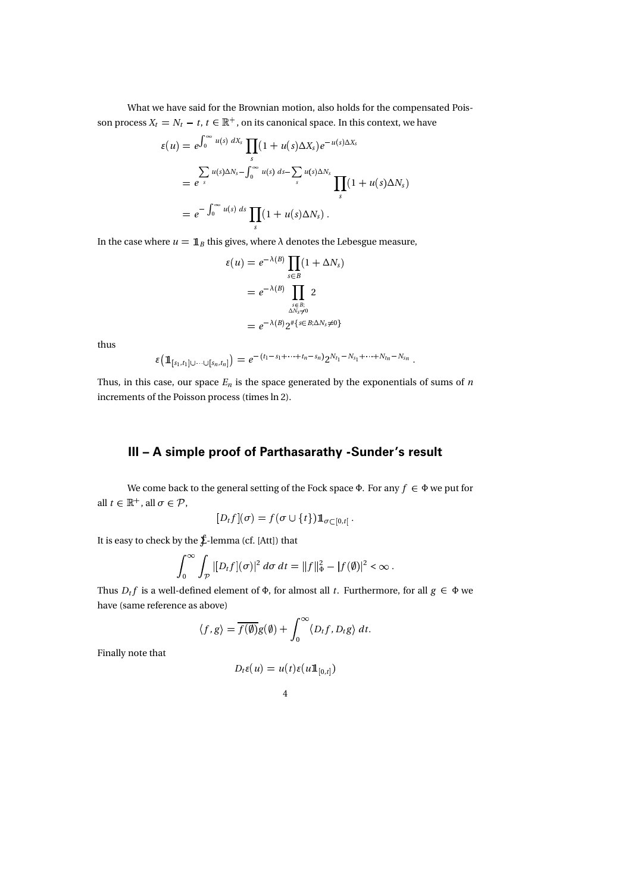What we have said for the Brownian motion, also holds for the compensated Poisson process  $X_t = N_t - t$ ,  $t \in \mathbb{R}^+$ , on its canonical space. In this context, we have

$$
\varepsilon(u) = e^{\int_0^\infty u(s) dX_s} \prod_s (1 + u(s) \Delta X_s) e^{-u(s) \Delta X_s}
$$
  
=  $e^{\int_s^\infty u(s) \Delta N_s - \int_0^\infty u(s) ds - \sum_s u(s) \Delta N_s} \prod_s (1 + u(s) \Delta N_s)$   
=  $e^{-\int_0^\infty u(s) ds} \prod_s (1 + u(s) \Delta N_s).$ 

In the case where  $u = \mathbb{1}_B$  this gives, where  $\lambda$  denotes the Lebesgue measure,

$$
\varepsilon(u) = e^{-\lambda(B)} \prod_{s \in B} (1 + \Delta N_s)
$$
  
=  $e^{-\lambda(B)} \prod_{\substack{s \in B; \\ \Delta N_s \neq 0}} 2$   
=  $e^{-\lambda(B)} 2^{\# \{ s \in B; \Delta N_s \neq 0 \}}$ 

thus

$$
\varepsilon\big(\mathbb{1}_{[s_1,t_1]\cup\cdots\cup[s_n,t_n]}\big) = e^{-(t_1-s_1+\cdots+t_n-s_n)}2^{N_{t_1}-N_{s_1}+\cdots+N_{t_n}-N_{s_n}}.
$$

Thus, in this case, our space  $E_n$  is the space generated by the exponentials of sums of n increments of the Poisson process (times ln 2).

# III – A simple proof of Parthasarathy -Sunder's result

We come back to the general setting of the Fock space Φ. For any  $f \in \Phi$  we put for all  $t \in \mathbb{R}^+$ , all  $\sigma \in \mathcal{P}$ ,

$$
[D_tf](\sigma)=f(\sigma\cup\{t\})1\!\!1_{\sigma\subset [0,t[}.
$$

It is easy to check by the Σ-lemma (cf. [Att]) that

$$
\int_0^\infty \int_{\mathcal{P}} |[D_t f](\sigma)|^2\,d\sigma\,dt = \|f\|_\Phi^2 - |f(\emptyset)|^2 < \infty\,.
$$

Thus  $D_t f$  is a well-defined element of  $\Phi$ , for almost all t. Furthermore, for all  $g \in \Phi$  we have (same reference as above)

$$
\langle f, g \rangle = \overline{f(\emptyset)}g(\emptyset) + \int_0^\infty \langle D_t f, D_t g \rangle dt.
$$

Finally note that

$$
D_t \varepsilon(u) = u(t) \varepsilon(u \mathbf{1}_{[0,t]})
$$

$$
^{4}
$$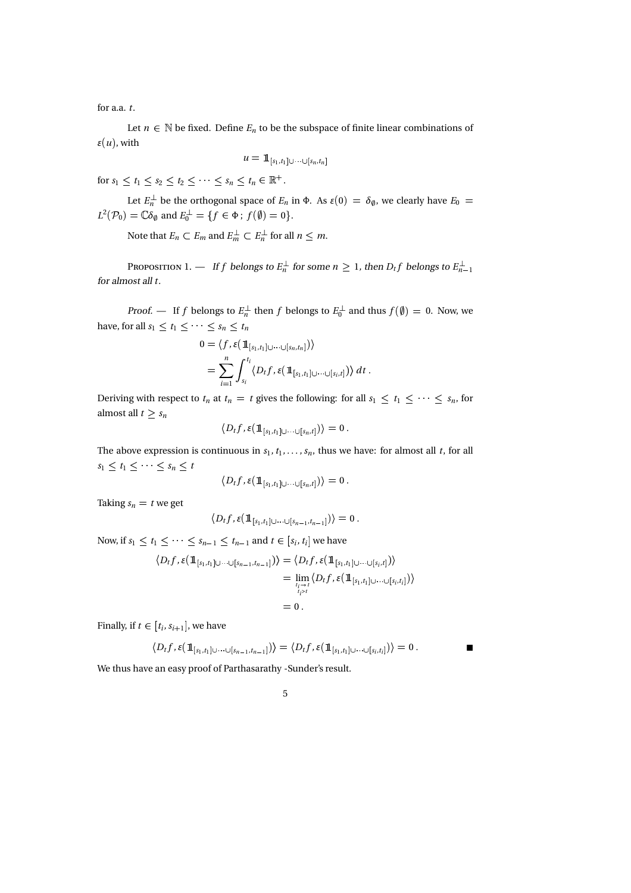for a.a. t.

Let  $n \in \mathbb{N}$  be fixed. Define  $E_n$  to be the subspace of finite linear combinations of  $\varepsilon(u)$ , with

$$
\mu=\mathbb{1}_{[s_1,t_1]\cup\cdots\cup[s_n,t_n]}
$$

for  $s_1 < t_1 < s_2 < t_2 < \cdots < s_n < t_n \in \mathbb{R}^+$ .

Let  $E_n^{\perp}$  be the orthogonal space of  $E_n$  in  $\Phi$ . As  $\varepsilon(0) = \delta_{\emptyset}$ , we clearly have  $E_0 =$  $L^2(\mathcal{P}_0)=\mathbb{C}\delta_{\emptyset}$  and  $E_0^{\perp}=\{f\in\Phi\,;\,f(\emptyset)=0\}.$ 

Note that  $E_n \subset E_m$  and  $E_m^{\perp} \subset E_n^{\perp}$  for all  $n \leq m$ .

P 1. — If f belongs to  $E_n^{\perp}$  for some  $n \geq 1$ , then  $D_t f$  belongs to  $E_{n-1}^{\perp}$ for almost all t.

*Proof.* — If f belongs to  $E_n^{\perp}$  then f belongs to  $E_0^{\perp}$  and thus  $f(\emptyset) = 0$ . Now, we have, for all  $s_1 \leq t_1 \leq \cdots \leq s_n \leq t_n$ 

$$
0 = \langle f, \varepsilon(\mathbb{1}_{[s_1, t_1]\cup\cdots\cup[s_n, t_n]}) \rangle
$$
  
= 
$$
\sum_{i=1}^n \int_{s_i}^{t_i} \langle D_t f, \varepsilon(\mathbb{1}_{[s_1, t_1]\cup\cdots\cup[s_i, t]}) \rangle dt.
$$

Deriving with respect to  $t_n$  at  $t_n = t$  gives the following: for all  $s_1 \leq t_1 \leq \cdots \leq s_n$ , for almost all  $t \geq s_n$ 

$$
\langle D_t f, \varepsilon(\mathop{1\mskip-4mu{\rm l}}_{[s_1,t_1]\cup\cdots\cup[s_n,t]})\rangle=0\,.
$$

The above expression is continuous in  $s_1, t_1, \ldots, s_n$ , thus we have: for almost all t, for all  $s_1 \leq t_1 \leq \cdots \leq s_n \leq t$ 

$$
\langle D_t f, \varepsilon(\mathop{1\mskip-4mu{\rm l}}_{[s_1,t_1]\cup\cdots\cup[s_n,t]})\rangle=0\,.
$$

Taking  $s_n = t$  we get

$$
\langle D_t f, \varepsilon(\mathop{1\mskip-4mu{\rm\textit{l}}}_{[s_1,t_1]\cup\cdots\cup[s_{n-1},t_{n-1}]})\rangle=0\,.
$$

Now, if  $s_1 \leq t_1 \leq \cdots \leq s_{n-1} \leq t_{n-1}$  and  $t \in [s_i, t_i]$  we have

$$
\langle D_t f, \varepsilon (\mathbb{1}_{[s_1,t_1]\cup\cdots\cup[s_{n-1},t_{n-1}]}) \rangle = \langle D_t f, \varepsilon (\mathbb{1}_{[s_1,t_1]\cup\cdots\cup[s_i,t]}) \rangle
$$
  
= 
$$
\lim_{t_i \to t \atop t_i > t} \langle D_t f, \varepsilon (\mathbb{1}_{[s_1,t_1]\cup\cdots\cup[s_i,t_i]}) \rangle
$$
  
= 0.

Finally, if  $t \in [t_i, s_{i+1}]$ , we have

$$
\langle D_t f, \varepsilon (\mathbb{1}_{[s_1,t_1]\cup\cdots\cup[s_{n-1},t_{n-1}]})\rangle = \langle D_t f, \varepsilon (\mathbb{1}_{[s_1,t_1]\cup\cdots\cup[s_i,t_i]})\rangle = 0.
$$

We thus have an easy proof of Parthasarathy -Sunder's result.

5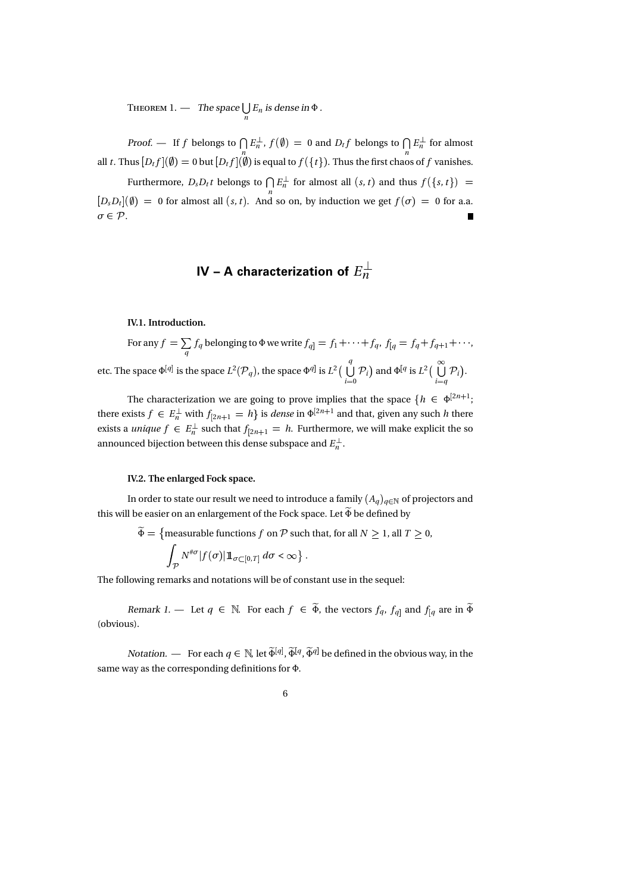T 1. — The space  $\bigcup_n E_n$  is dense in  $\Phi$ .

*Proof.* — If f belongs to  $\bigcap E_n^{\perp}$ ,  $f(\emptyset) = 0$  and  $D_t f$  belongs to  $\bigcap E_n^{\perp}$  for almost all t. Thus  $[D_t f](\emptyset) = 0$  but  $[D_t f](\emptyset)$  is equal to  $f({t})$ . Thus the first chaos of  $f$  vanishes.

Furthermore,  $D_s D_t t$  belongs to  $\int |E_n^{\perp} \rangle$  for almost all  $(s, t)$  and thus  $f(\lbrace s, t \rbrace) =$  $[D_s D_t](\emptyset) = 0$  for almost all  $(s, t)$ . And so on, by induction we get  $f(\sigma) = 0$  for a.a.  $\sigma \in \mathcal{P}$ .

# IV – A characterization of  $E_n^\perp$

IV.1. Introduction.

For any  $f = \sum_{a} f_q$  belonging to  $\Phi$  we write  $f_{q} = f_1 + \cdots + f_q$ ,  $f_{[q]} = f_q + f_{q+1} + \cdots$ , q etc. The space  $\Phi^{[q]}$  is the space  $L^2(\mathcal{P}_q)$ , the space  $\Phi^{q]}$  is  $L^2\big(\,\bigcup\,\mathcal{P}_i\big)$  a q  $\bigcup_{i=0}^{j} \mathcal{P}_i$  and  $\Phi^{[q]}$  is  $L^2 \Big( \bigcup_{i=q} \mathcal{P}_i \Big)$ .

The characterization we are going to prove implies that the space  $\{h \in \Phi^{\geq n+1};\$ there exists  $f \in E_n^{\perp}$  with  $f_{[2n+1]} = h$  is *dense* in  $\Phi^{[2n+1]}$  and that, given any such h there exists a *unique*  $f \in E_n^{\perp}$  such that  $f_{[2n+1]} = h$ . Furthermore, we will make explicit the so announced bijection between this dense subspace and  $E_n^\perp.$ 

#### IV.2. The enlarged Fock space.

In order to state our result we need to introduce a family  $(A_q)_{q\in\mathbb{N}}$  of projectors and this will be easier on an enlargement of the Fock space. Let  $\widetilde{\Phi}$  be defined by

$$
\widetilde{\Phi} = \{ \text{measurable functions } f \text{ on } \mathcal{P} \text{ such that, for all } N \ge 1, \text{ all } T \ge 0, \}
$$

$$
\int_{\mathcal{P}} N^{\# \sigma} |f(\sigma)| 1\!\!1_{\sigma \subset [0,T]} \, d\sigma < \infty \bigr\} \ .
$$

The following remarks and notations will be of constant use in the sequel:

Remark 1. — Let  $q \in \mathbb{N}$ . For each  $f \in \widetilde{\Phi}$ , the vectors  $f_q$ ,  $f_{q}$  and  $f_{[q]}$  are in  $\widetilde{\Phi}$ (obvious).

*Notation.* — For each  $q \in \mathbb{N}$ , let  $\widetilde{\Phi}^{[q]}, \widetilde{\Phi}^{[q]}, \widetilde{\Phi}^{q]}$  be defined in the obvious way, in the same way as the corresponding definitions for Φ.

## 6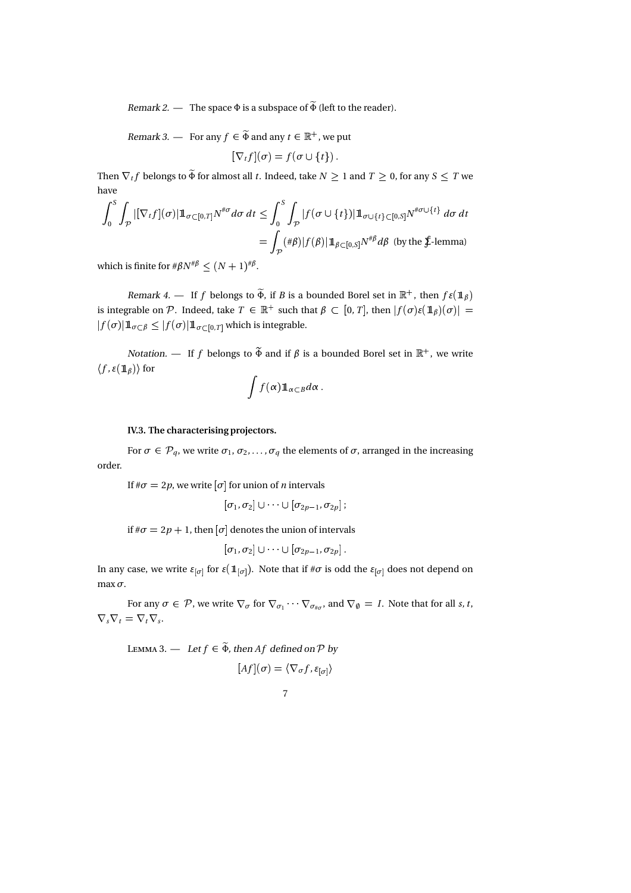Remark 2. — The space  $\Phi$  is a subspace of  $\tilde{\Phi}$  (left to the reader).

Remark 3. — For any  $f \in \widetilde{\Phi}$  and any  $t \in \mathbb{R}^+$ , we put

 $[\nabla_t f](\sigma) = f(\sigma \cup \{t\}).$ 

Then  $\nabla_t f$  belongs to  $\widetilde{\Phi}$  for almost all  $t.$  Indeed, take  $N\geq 1$  and  $T\geq 0,$  for any  $S\leq T$  we have

$$
\int_0^S \int_{\mathcal{P}} |[\nabla_t f](\sigma)| \mathbb{1}_{\sigma \subset [0,T]} N^{\# \sigma} d\sigma dt \le \int_0^S \int_{\mathcal{P}} |f(\sigma \cup \{t\})| \mathbb{1}_{\sigma \cup \{t\} \subset [0,S]} N^{\# \sigma \cup \{t\}} d\sigma dt
$$

$$
= \int_{\mathcal{P}} (\# \beta) |f(\beta)| \mathbb{1}_{\beta \subset [0,S]} N^{\# \beta} d\beta \text{ (by the $\mathbf{\mathring{f}}$-lemma)}
$$

which is finite for  $\#\beta N^{\#\beta}\leq (N+1)^{\#\beta}.$ 

Remark 4. — If f belongs to  $\Phi$ , if B is a bounded Borel set in  $\mathbb{R}^+$ , then  $f\epsilon(\mathbb{1}_\beta)$ is integrable on  $\mathcal P$  . Indeed, take  $T\,\in\,\mathbb R^+$  such that  $\beta\,\subset\,[0,T],$  then  $|f(\sigma)\varepsilon({1\!\!1}_\beta)(\sigma)|\,=\,$  $|f(\sigma)| 1\!\!1_{\sigma\subset\beta}\leq |f(\sigma)| 1\!\!1_{\sigma\subset [0,T]}$  which is integrable.

Notation. — If f belongs to  $\widetilde{\Phi}$  and if β is a bounded Borel set in  $\mathbb{R}^+$ , we write  $\langle f, \varepsilon(\mathop{\mathrm{\boldsymbol{1}}}\nolimits_\beta)\rangle$  for

$$
\int f(\alpha) 1\!\!1_{\alpha \subset B} d\alpha.
$$

### IV.3. The characterising projectors.

For  $\sigma \in \mathcal{P}_q$ , we write  $\sigma_1, \sigma_2, \ldots, \sigma_q$  the elements of  $\sigma$ , arranged in the increasing order.

If  $\#\sigma = 2p$ , we write  $[\sigma]$  for union of *n* intervals

$$
[\sigma_1,\sigma_2]\cup\cdots\cup[\sigma_{2p-1},\sigma_{2p}]\,;
$$

if  $\#\sigma = 2p + 1$ , then  $[\sigma]$  denotes the union of intervals

$$
[\sigma_1,\sigma_2]\cup\cdots\cup[\sigma_{2p-1},\sigma_{2p}]\,.
$$

In any case, we write  $\varepsilon_{[\sigma]}$  for  $\varepsilon(\mathbb{1}_{[\sigma]}).$  Note that if # $\sigma$  is odd the  $\varepsilon_{[\sigma]}$  does not depend on max  $\sigma$ .

For any  $\sigma \in \mathcal{P}$ , we write  $\nabla_{\sigma}$  for  $\nabla_{\sigma_1} \cdots \nabla_{\sigma_{\#\sigma}}$ , and  $\nabla_{\emptyset} = I$ . Note that for all s, t,  $\nabla_s \nabla_t = \nabla_t \nabla_s.$ 

L 3. — Let 
$$
f \in \tilde{\Phi}
$$
, then Af defined on P by  
\n
$$
[Af](\sigma) = \langle \nabla_{\sigma} f, \varepsilon_{[\sigma]} \rangle
$$

7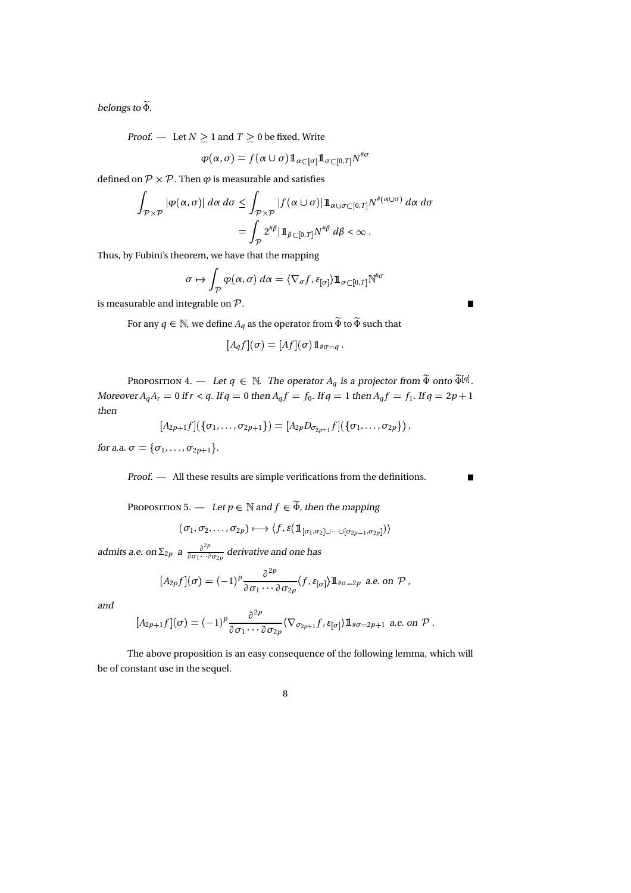belongs to Φ-

*Proof.* — Let  $N \geq 1$  and  $T \geq 0$  be fixed. Write

$$
\varphi(\alpha,\sigma)=f(\alpha\cup\sigma)\mathbb{1}_{\alpha\subset[\sigma]}\mathbb{1}_{\sigma\subset[0,T]}N^{\text{H}\sigma}
$$

defined on  $\mathcal{P} \times \mathcal{P}$ . Then  $\varphi$  is measurable and satisfies

$$
\int_{\mathcal{P}\times\mathcal{P}}|\varphi(\alpha,\sigma)|\,d\alpha\,d\sigma\leq \int_{\mathcal{P}\times\mathcal{P}}|f(\alpha\cup\sigma)|1\!\!1_{\alpha\cup\sigma\subset[0,T]}N^{\#(\alpha\cup\sigma)}\,d\alpha\,d\sigma
$$

$$
=\int_{\mathcal{P}}2^{\# \beta}|1\!\!1_{\beta\subset[0,T]}N^{\# \beta}\,d\beta<\infty\,.
$$

Thus, by Fubini's theorem, we have that the mapping

$$
\sigma \mapsto \int_{\mathcal{P}} \varphi(\alpha, \sigma) \, d\alpha = \langle \nabla_{\sigma} f, \varepsilon_{[\sigma]} \rangle \mathbb{1}_{\sigma \subset [0, T]} \mathbb{N}^{\#\sigma}
$$

is measurable and integrable on  $P$ .

.

For any  $q \in \mathbb{N}$ , we define  $A_q$  as the operator from  $\widetilde{\Phi}$  to  $\widetilde{\Phi}$  such that

$$
[A_q f](\sigma) = [Af](\sigma) \mathbf{1}_{\#\sigma = q}.
$$

P 4. — Let  $q \in \mathbb{N}$ . The operator  $A_q$  is a projector from  $\tilde{\Phi}$  onto  $\tilde{\Phi}^{[q]}$ . Moreover  $A_qA_r = 0$  if  $r < q$ . If  $q = 0$  then  $A_qf = f_0$ . If  $q = 1$  then  $A_qf = f_1$ . If  $q = 2p + 1$ then

$$
[A_{2p+1}f](\{\sigma_1,\ldots,\sigma_{2p+1}\}) = [A_{2p}D_{\sigma_{2p+1}}f](\{\sigma_1,\ldots,\sigma_{2p}\}),
$$

for a.a.  $\sigma = {\sigma_1, \ldots, \sigma_{2p+1}}$ .

Proof. — All these results are simple verifications from the definitions.

P 5. — Let  $p \in \mathbb{N}$  and  $f \in \widetilde{\Phi}$ , then the mapping  $(\sigma_1,\sigma_2,\ldots,\sigma_{2p}) \longmapsto \langle f, \varepsilon(1\!\!1_{[\sigma_1,\sigma_2]\cup\cdots\cup[\sigma_{2p-1},\sigma_{2p}]})\rangle$ 

admits a.e. on  $\Sigma_{2p}$  a  $\frac{\partial^{2p}}{\partial q_1}$  $\frac{\partial}{\partial \sigma_1 \cdots \partial \sigma_{2p}}$  derivative and one has

$$
[A_{2p}f](\sigma) = (-1)^p \frac{\partial^{2p}}{\partial \sigma_1 \cdots \partial \sigma_{2p}} \langle f, \varepsilon_{[\sigma]}\rangle 1\!\!1_{\#\sigma=2p} \text{ a.e. on } \mathcal{P},
$$

and

$$
[A_{2p+1}f](\sigma) = (-1)^p \frac{\partial^{2p}}{\partial \sigma_1 \cdots \partial \sigma_{2p}} \langle \nabla_{\sigma_{2p+1}} f, \varepsilon_{[\sigma]} \rangle 1\!\!1_{\#\sigma=2p+1} \text{ a.e. on } \mathcal{P}.
$$

The above proposition is an easy consequence of the following lemma, which will be of constant use in the sequel.

$$
8 \\
$$

 $\blacksquare$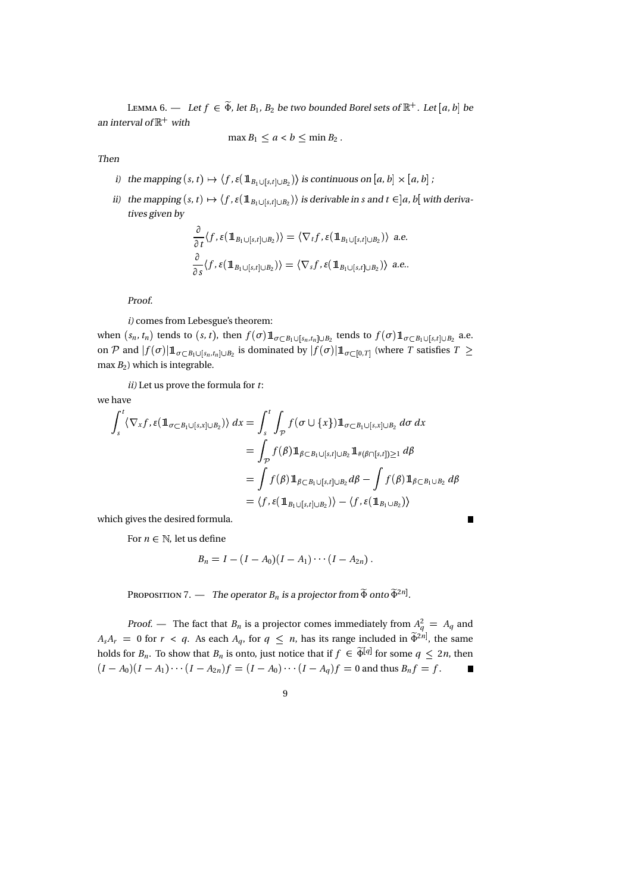Lemma 6. — Let  $f \in \widetilde{\Phi}$ , let  $B_1$ ,  $B_2$  be two bounded Borel sets of  $\mathbb{R}^+$ . Let  $[a, b]$  be an interval of  $\mathbb{R}^+$  with

 $\max B_1 < a < b < \min B_2$ .

Then

- i) the mapping  $(s,t)\mapsto \langle f, \varepsilon({1\!\!1}_{B_1\cup[s,t]\cup B_2})\rangle$  is continuous on  $[a,b]\times[a,b]$  ;
- ii) the mapping  $(s, t) \mapsto \langle f, \varepsilon(\mathbb{1}_{B_1 \cup [s,t] \cup B_2}) \rangle$  is derivable in s and  $t \in ]a, b[$  with derivatives given by

$$
\frac{\partial}{\partial t} \langle f, \varepsilon (\mathbb{1}_{B_1 \cup [s,t] \cup B_2}) \rangle = \langle \nabla_t f, \varepsilon (\mathbb{1}_{B_1 \cup [s,t] \cup B_2}) \rangle \text{ a.e.}
$$
  

$$
\frac{\partial}{\partial s} \langle f, \varepsilon (\mathbb{1}_{B_1 \cup [s,t] \cup B_2}) \rangle = \langle \nabla_s f, \varepsilon (\mathbb{1}_{B_1 \cup [s,t] \cup B_2}) \rangle \text{ a.e.}.
$$

Proof.

i) comes from Lebesgue's theorem:

when  $(s_n, t_n)$  tends to  $(s, t)$ , then  $f(\sigma) 1\!\!1_{\sigma \subset B_1 \cup [s_n, t_n] \cup B_2}$  tends to  $f(\sigma) 1\!\!1_{\sigma \subset B_1 \cup [s, t] \cup B_2}$  a.e. on  ${\cal P}$  and  $|f(\sigma)| 1\!\!1_{\sigma\subset B_1\cup[s_n,t_n]\cup B_2}$  is dominated by  $|f(\sigma)| 1\!\!1_{\sigma\subset[0,T]}$  (where  $T$  satisfies  $T\geq$ max  $B_2$ ) which is integrable.

 $ii)$  Let us prove the formula for  $t$ :

we have

$$
\int_{s}^{t} \langle \nabla_{x} f, \varepsilon (\mathbb{1}_{\sigma \subset B_{1} \cup [s,x] \cup B_{2}}) \rangle dx = \int_{s}^{t} \int_{\mathcal{P}} f(\sigma \cup \{x\}) \mathbb{1}_{\sigma \subset B_{1} \cup [s,x] \cup B_{2}} d\sigma dx
$$
  
\n
$$
= \int_{\mathcal{P}} f(\beta) \mathbb{1}_{\beta \subset B_{1} \cup [s,t] \cup B_{2}} \mathbb{1}_{\#(\beta \cap [s,t]) \ge 1} d\beta
$$
  
\n
$$
= \int f(\beta) \mathbb{1}_{\beta \subset B_{1} \cup [s,t] \cup B_{2}} d\beta - \int f(\beta) \mathbb{1}_{\beta \subset B_{1} \cup B_{2}} d\beta
$$
  
\n
$$
= \langle f, \varepsilon (\mathbb{1}_{B_{1} \cup [s,t] \cup B_{2}}) \rangle - \langle f, \varepsilon (\mathbb{1}_{B_{1} \cup B_{2}}) \rangle
$$

which gives the desired formula.

For  $n \in \mathbb{N}$ , let us define

$$
B_n = I - (I - A_0)(I - A_1) \cdots (I - A_{2n}).
$$

P 7. — The operator  $B_n$  is a projector from  $\tilde{\Phi}$  onto  $\tilde{\Phi}^{2n}$ .

Proof. — The fact that  $B_n$  is a projector comes immediately from  $A_q^2 = A_q$  and  $A_s A_r = 0$  for  $r < q$ . As each  $A_q$ , for  $q \leq n$ , has its range included in  $\widetilde{\Phi}^{2n}$ , the same holds for  $B_n$ . To show that  $B_n$  is onto, just notice that if  $f \in \widetilde{\Phi}^{[q]}$  for some  $q \leq 2n$ , then  $(I-A_0)(I-A_1)\cdots (I-A_{2n})f=(I-A_0)\cdots (I-A_q)f=0$  and thus  $B_nf=f$ .

9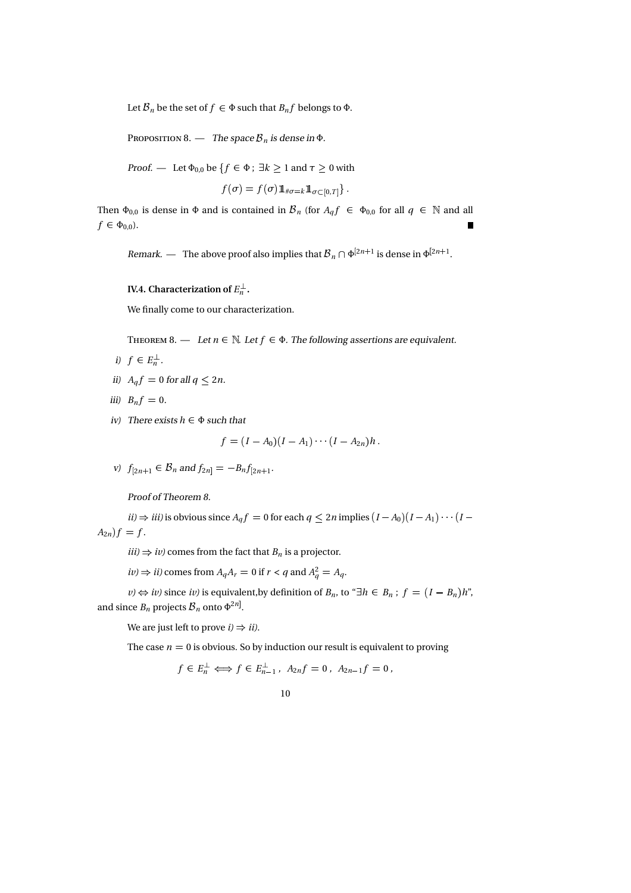Let  $\mathcal{B}_n$  be the set of  $f \in \Phi$  such that  $B_n f$  belongs to  $\Phi$ .

P a.  $-$  The space  $\mathcal{B}_n$  is dense in  $\Phi$ .

Proof. — Let  $\Phi_{0,0}$  be  $\{f \in \Phi : \exists k \geq 1 \text{ and } \tau \geq 0 \text{ with } k \leq k \}$ 

$$
f(\sigma) = f(\sigma) 1\!\!1_{\#\sigma=k} 1\!\!1_{\sigma \subset [0,T]}\}.
$$

Then  $\Phi_{0,0}$  is dense in  $\Phi$  and is contained in  $\mathcal{B}_n$  (for  $A_q f \in \Phi_{0,0}$  for all  $q \in \mathbb{N}$  and all  $f \in \Phi_{0,0}$ ).

Remark. — The above proof also implies that  $\mathcal{B}_n \cap \Phi^{\lfloor 2n+1 \rfloor}$  is dense in  $\Phi^{\lfloor 2n+1 \rfloor}$ .

## IV.4. Characterization of  $E_n^{\perp}$ .

We finally come to our characterization.

Theorem 8. — Let  $n \in \mathbb{N}$ . Let  $f \in \Phi$ . The following assertions are equivalent.

- i)  $f \in E_n^{\perp}$ .
- ii)  $A_q f = 0$  for all  $q \le 2n$ .
- iii)  $B_nf = 0$ .
- iv) There exists  $h \in \Phi$  such that

$$
f=(I-A_0)(I-A_1)\cdots (I-A_{2n})h.
$$

v)  $f_{[2n+1]} \in \mathcal{B}_n$  and  $f_{2n]} = -B_n f_{[2n+1]}$ .

Proof of Theorem 8.

 $ii) \Rightarrow iii$ ) is obvious since  $A_q f = 0$  for each  $q \leq 2n$  implies  $(I - A_0)(I - A_1) \cdots (I A_{2n}$ )  $f = f$ .

 $iii) \Rightarrow iv$ ) comes from the fact that  $B_n$  is a projector.

 $iv \Rightarrow ii$ ) comes from  $A_qA_r = 0$  if  $r < q$  and  $A_q^2 = A_q$ .

 $\nu$ )  $\Leftrightarrow$  iv) since iv) is equivalent,by definition of  $B_n$ , to " $\exists h \in B_n$ ;  $f = (I - B_n)h$ ", and since  $B_n$  projects  $\mathcal{B}_n$  onto  $\Phi^{2n}$ .

We are just left to prove  $i) \Rightarrow ii$ .

The case  $n = 0$  is obvious. So by induction our result is equivalent to proving

 $f \in E_n^{\perp} \Longleftrightarrow f \in E_{n-1}^{\perp}$ ,  $A_{2n}f = 0$ ,  $A_{2n-1}f = 0$ ,

$$
10\quad
$$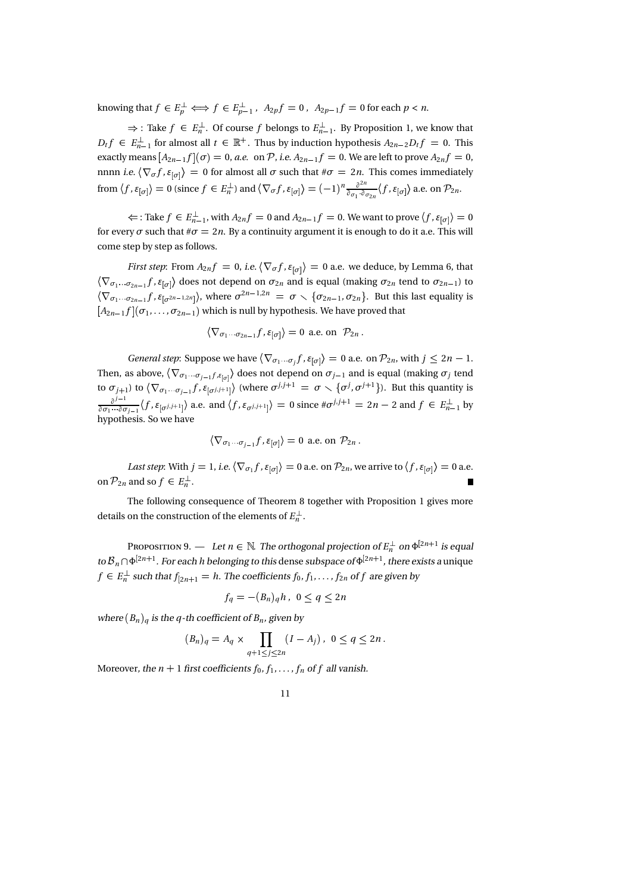knowing that  $f\in E_p^{\perp}\Longleftrightarrow f\in E_{p-1}^{\perp}$  ,  $\ A_{2p}f=0$  ,  $\ A_{2p-1}f=0$  for each  $p< n$ .

 $\Rightarrow$  : Take  $f \in E_n^{\perp}$ . Of course f belongs to  $E_{n-1}^{\perp}$ . By Proposition 1, we know that  $D_t f \in E_{n-1}^{\perp}$  for almost all  $t \in \mathbb{R}^+$ . Thus by induction hypothesis  $A_{2n-2}D_t f = 0$ . This exactly means  $[A_{2n-1} f](\sigma) = 0$ , a.e. on  ${\mathcal P}$ , i.e.  $A_{2n-1} f = 0$ . We are left to prove  $A_{2n} f = 0$ , nnnn *i.e.*  $\langle \nabla_{\sigma} f, \varepsilon_{[\sigma]} \rangle = 0$  for almost all  $\sigma$  such that  $\#\sigma = 2n$ . This comes immediately from  $\langle f, \varepsilon_{[\sigma]}\rangle = 0$  (since  $f \in E_n^{\perp}$ ) and  $\langle \nabla_{\sigma} f, \varepsilon_{[\sigma]}\rangle = (-1)^n \frac{\partial^{2n}}{\partial \sigma_1 \cdot \partial \sigma_2}$  $\frac{\partial^{2n}}{\partial \sigma_1 \cdot \partial \sigma_{2n}} \langle f, \varepsilon_{[\sigma]} \rangle$  a.e. on  $\mathcal{P}_{2n}$ .

 $\Leftarrow$  : Take  $f \in E_{n-1}^{\perp}$ , with  $A_{2n}f = 0$  and  $A_{2n-1}f = 0$ . We want to prove  $\langle f, \varepsilon_{[\sigma]}\rangle = 0$ for every  $\sigma$  such that  $\#\sigma = 2n$ . By a continuity argument it is enough to do it a.e. This will come step by step as follows.

*First step*: From  $A_{2n}f = 0$ , i.e.  $\langle \nabla_{\sigma} f, \varepsilon_{|\sigma|} \rangle = 0$  a.e. we deduce, by Lemma 6, that  $\langle\nabla_{\sigma_1\cdots\sigma_{2n-1}}f, \epsilon_{[\sigma]}\rangle$  does not depend on  $\sigma_{2n}$  and is equal (making  $\sigma_{2n}$  tend to  $\sigma_{2n-1}$ ) to  $\langle\nabla_{\sigma_1\cdots\sigma_{2n-1}}f, \epsilon_{[\sigma^{2n-1,2n}]}\rangle$ , where  $\sigma^{2n-1,2n} = \sigma \smallsetminus \{\sigma_{2n-1}, \sigma_{2n}\}.$  But this last equality is  $[A_{2n-1}f](\sigma_1,\ldots,\sigma_{2n-1})$  which is null by hypothesis. We have proved that

$$
\langle \nabla_{\sigma_1 \cdots \sigma_{2n-1}} f, \varepsilon_{[\sigma]} \rangle = 0 \text{ a.e. on } \mathcal{P}_{2n} .
$$

*General step*: Suppose we have  $\langle \nabla_{\sigma_1 \cdots \sigma_j} f, \varepsilon_{[\sigma]} \rangle = 0$  a.e. on  $\mathcal{P}_{2n}$ , with  $j \leq 2n - 1$ . Then, as above,  $\langle \nabla_{\sigma_1\cdots\sigma_{j-1}f,\varepsilon_{[\sigma]}}\rangle$  does not depend on  $\sigma_{j-1}$  and is equal (making  $\sigma_j$  tend to  $\sigma_{j+1}$ ) to  $\langle \nabla_{\sigma_1 \cdots \sigma_{j-1}} f, \varepsilon_{[\sigma^{j,j+1}]} \rangle$  (where  $\sigma^{j,j+1} = \sigma \smallsetminus \{\sigma^j, \sigma^{j+1}\}$ ). But this quantity is  $\partial^{j-1}$  (f s ....) 2.9 and (  $\frac{\partial^{j-1}}{\partial \sigma_1 \cdots \partial \sigma_{j-1}} \langle f, \varepsilon_{[\sigma^{j,j+1}]} \rangle$  a.e. and  $\langle f, \varepsilon_{\sigma^{j,j+1}} \rangle = 0$  since  $\#\sigma^{j,j+1} = 2n - 2$  and  $f \in E_{n-1}^{\perp}$  by hypothesis. So we have

$$
\langle \nabla_{\sigma_1 \cdots \sigma_{j-1}} f, \varepsilon_{[\sigma]} \rangle = 0 \text{ a.e. on } \mathcal{P}_{2n} .
$$

Last step: With  $j=1$ , i.e.  $\langle \nabla_{\sigma_1} f, \varepsilon_{[\sigma]} \rangle = 0$  a.e. on  $\mathcal{P}_{2n}$ , we arrive to  $\langle f, \varepsilon_{[\sigma]} \rangle = 0$  a.e. on  $\mathcal{P}_{2n}$  and so  $f \in E_n^{\perp}$ .

The following consequence of Theorem 8 together with Proposition 1 gives more details on the construction of the elements of  $E_n^{\perp}$ .

P 9. — Let  $n \in \mathbb{N}$ . The orthogonal projection of  $E_n^{\perp}$  on  $\Phi^{[2n+1]}$  is equal to  ${\cal B}_n \cap \Phi^{[2n+1]}.$  For each  $h$  belonging to this dense subspace of  $\Phi^{[2n+1]}$ , there exists a unique  $f\in E_n^\bot$  such that  $f_{[2n+1]}=h.$  The coefficients  $f_0,f_1,\ldots,f_{2n}$  of  $f$  are given by

$$
f_q = -(B_n)_q h, \ 0 \le q \le 2n
$$

where  $(B_n)_q$  is the q-th coefficient of  $B_n$ , given by

$$
(B_n)_q = A_q \times \prod_{q+1 \le j \le 2n} (I - A_j), \ 0 \le q \le 2n.
$$

Moreover, the  $n+1$  first coefficients  $f_0, f_1, \ldots, f_n$  of  $f$  all vanish.

$$
^{11}
$$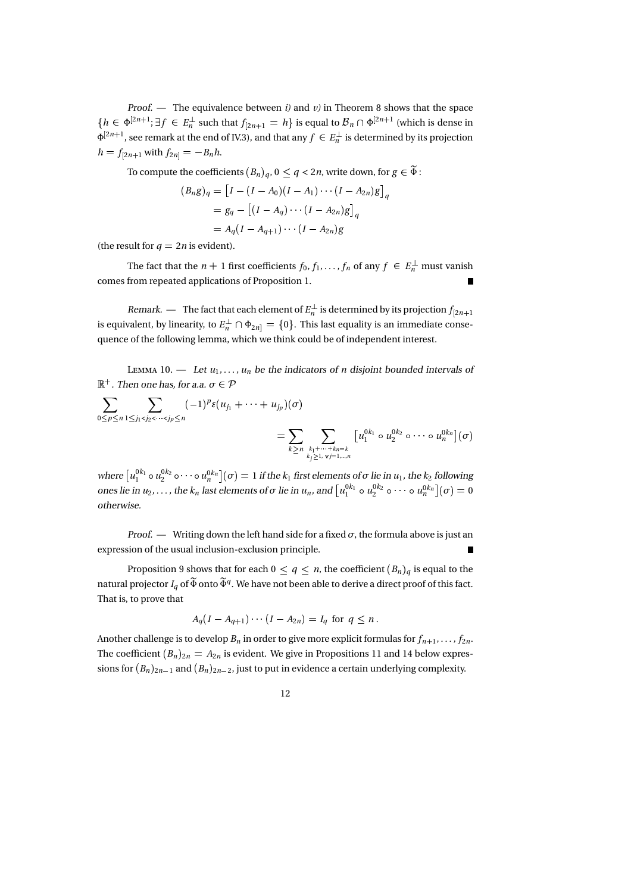Proof. - The equivalence between  $i$ ) and  $v$ ) in Theorem 8 shows that the space  $\{h \in \Phi^{[2n+1]};\exists f \in E_n^\perp \text{ such that } f_{[2n+1]} = h\}$  is equal to  $\mathcal{B}_n \cap \Phi^{[2n+1]}$  (which is dense in  $\Phi^{[2n+1]}$ , see remark at the end of IV.3), and that any  $f \in E_n^{\perp}$  is determined by its projection  $h = f_{[2n+1]}$  with  $f_{2n]} = -B_n h$ .

To compute the coefficients  $(B_n)_q,$   $0\leq q <$  2*n*, write down, for  $g\in \widetilde{\Phi}$  : :

$$
(B_n g)_q = [I - (I - A_0)(I - A_1) \cdots (I - A_{2n})g]_q
$$
  
=  $g_q - [(I - A_q) \cdots (I - A_{2n})g]_q$   
=  $A_q (I - A_{q+1}) \cdots (I - A_{2n})g$ 

(the result for  $q = 2n$  is evident).

The fact that the  $n + 1$  first coefficients  $f_0, f_1, \ldots, f_n$  of any  $f \in E_n^{\perp}$  must vanish comes from repeated applications of Proposition 1.

*Remark. —* The fact that each element of  $E_n^\perp$  is determined by its projection  $f_{[2n+1]}$ is equivalent, by linearity, to  $E_n^\perp \cap \Phi_{2n]} = \{0\}.$  This last equality is an immediate consequence of the following lemma, which we think could be of independent interest.

Lemma 10. — Let  $u_1, \ldots, u_n$  be the indicators of n disjoint bounded intervals of  $\mathbb{R}^+$ . Then one has, for a.a.  $\sigma \in \mathcal{P}$ 

$$
\sum_{0 \le p \le n} \sum_{1 \le j_1 < j_2 < \cdots < j_p \le n} (-1)^p \varepsilon (u_{j_1} + \cdots + u_{j_p})(\sigma) \\
= \sum_{k \ge n} \sum_{\substack{k_1 + \cdots + k_n = k \\ k_j \ge 1, \ \forall j = 1, \ \dots, n}} \left[ u_1^{0k_1} \circ u_2^{0k_2} \circ \cdots \circ u_n^{0k_n} \right](\sigma)
$$

where  $\left[u_1^{0k_1}\circ u_2^{0k_2}\circ\cdots\circ u_n^{0k_n}\right](\sigma)=1$  if the  $k_1$  first elements of  $\sigma$  lie in  $u_1$ , the  $k_2$  following ones lie in  $u_2,\ldots$  , the  $k_n$  last elements of  $\sigma$  lie in  $u_n$ , and  $\left[u_1^{0k_1}\circ u_2^{0k_2}\circ\cdots\circ u_n^{0k_n}\right](\sigma)=0$ otherwise.

*Proof.* — Writing down the left hand side for a fixed  $\sigma$ , the formula above is just an expression of the usual inclusion-exclusion principle.

Proposition 9 shows that for each  $0 \leq q \leq n$ , the coefficient  $(B_n)_q$  is equal to the natural projector  $I_q$  of  $\widetilde{\Phi}$  onto  $\widetilde{\Phi}^q$ . We have not been able to derive a direct proof of this fact. That is, to prove that

$$
A_q(I - A_{q+1}) \cdots (I - A_{2n}) = I_q \text{ for } q \leq n.
$$

Another challenge is to develop  $B_n$  in order to give more explicit formulas for  $f_{n+1}, \ldots, f_{2n}.$ The coefficient  $(B_n)_{2n} = A_{2n}$  is evident. We give in Propositions 11 and 14 below expressions for  $(B_n)_{2n-1}$  and  $(B_n)_{2n-2}$ , just to put in evidence a certain underlying complexity.

$$
^{12}
$$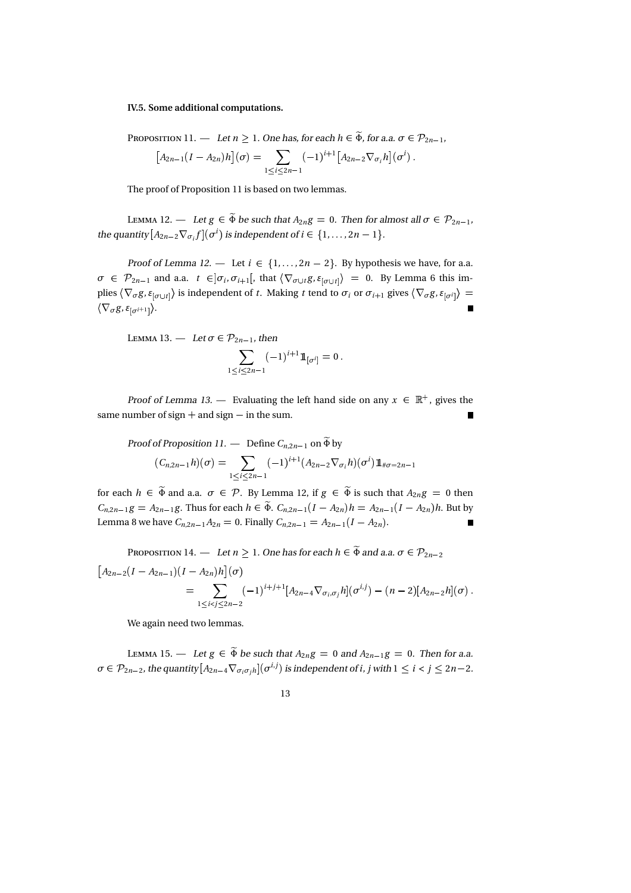#### IV.5. Some additional computations.

P 11. — Let 
$$
n \ge 1
$$
. One has, for each  $h \in \tilde{\Phi}$ , for a.a.  $\sigma \in \mathcal{P}_{2n-1}$ ,  
\n
$$
[A_{2n-1}(I - A_{2n})h](\sigma) = \sum_{1 \le i \le 2n-1} (-1)^{i+1} [A_{2n-2} \nabla_{\sigma_i} h](\sigma^i).
$$

The proof of Proposition 11 is based on two lemmas.

Lemma 12. — Let  $g \in \widetilde{\Phi}$  be such that  $A_{2n}g = 0$ . Then for almost all  $\sigma \in \mathcal{P}_{2n-1}$ , the quantity  $[A_{2n-2}\nabla_{\sigma_i} f](\sigma^i)$  is independent of  $i\in\{1,\ldots,2n-1\}.$ 

Proof of Lemma 12. — Let  $i \in \{1, ..., 2n-2\}$ . By hypothesis we have, for a.a.  $\sigma \in \mathcal{P}_{2n-1}$  and a.a.  $t \in ]\sigma_i, \sigma_{i+1}[$ , that  $\langle \nabla_{\sigma \cup t} g, \varepsilon_{|\sigma \cup t|} \rangle = 0$ . By Lemma 6 this implies  $\langle \nabla_{\sigma} g, \varepsilon_{[\sigma \cup t]} \rangle$  is independent of t. Making t tend to  $\sigma_i$  or  $\sigma_{i+1}$  gives  $\langle \nabla_{\sigma} g, \varepsilon_{[\sigma^i]} \rangle =$  $\langle \nabla_{\sigma} g, \varepsilon_{[\sigma^{i+1}]}\rangle.$  $\blacksquare$ 

L 13. – Let 
$$
\sigma \in \mathcal{P}_{2n-1}
$$
, then  

$$
\sum_{1 \le i \le 2n-1} (-1)^{i+1} 1\!\!1_{[\sigma^i]} = 0.
$$

Proof of Lemma 13. — Evaluating the left hand side on any  $x \in \mathbb{R}^+$ , gives the same number of  $\operatorname{sign} +$  and  $\operatorname{sign} -$  in the sum.

Proof of Proposition 11. — Define 
$$
C_{n,2n-1}
$$
 on  $\tilde{\Phi}$  by  
\n
$$
(C_{n,2n-1}h)(\sigma) = \sum_{1 \le i \le 2n-1} (-1)^{i+1} (A_{2n-2} \nabla_{\sigma_i} h)(\sigma^i) 1\!\!1_{\#\sigma=2n-1}
$$

for each  $h \in \Phi$  and a.a.  $\sigma \in \mathcal{P}$ . By Lemma 12, if  $g \in \Phi$  is such that  $A_{2n}g = 0$  then  $C_{n,2n-1}g = A_{2n-1}g$ . Thus for each  $h \in \tilde{\Phi}$ .  $C_{n,2n-1}(I - A_{2n})h = A_{2n-1}(I - A_{2n})h$ . But by Lemma 8 we have  $C_{n,2n-1}A_{2n} = 0$ . Finally  $C_{n,2n-1} = A_{2n-1}(I - A_{2n})$ .

P 14. – Let 
$$
n \ge 1
$$
. One has for each  $h \in \tilde{\Phi}$  and a.a.  $\sigma \in \mathcal{P}_{2n-2}$   
\n
$$
\left[A_{2n-2}(I - A_{2n-1})(I - A_{2n})h\right](\sigma)
$$
\n
$$
= \sum_{1 \le i < j \le 2n-2} (-1)^{i+j+1} [A_{2n-4} \nabla_{\sigma_i, \sigma_j} h](\sigma^{i,j}) - (n-2) [A_{2n-2}h](\sigma).
$$

We again need two lemmas.

L 15. — Let  $g \in \tilde{\Phi}$  be such that  $A_{2n}g = 0$  and  $A_{2n-1}g = 0$ . Then for a.a.  $\sigma\in \mathcal{P}_{2n-2}$ , the quantity  $[A_{2n-4}\nabla_{\sigma_i\sigma_j h}](\sigma^{i,j})$  is independent of i,  $j$  with  $1\leq i < j \leq 2n-2$ .

13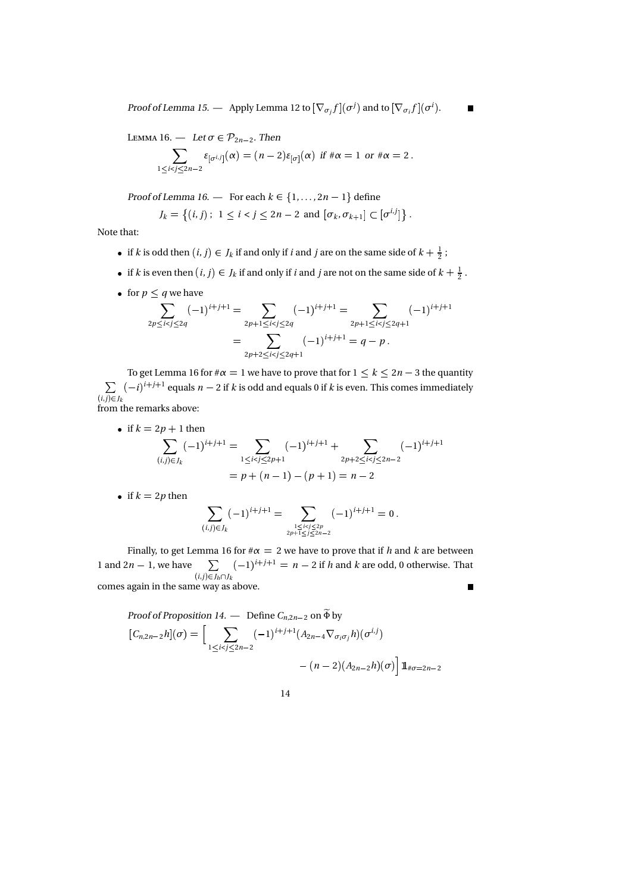Proof of Lemma 15. — Apply Lemma 12 to  $[\nabla_{\sigma_j} f](\sigma^j)$  and to  $[\nabla_{\sigma_i} f](\sigma^i)$ .

L 16. — Let 
$$
\sigma \in \mathcal{P}_{2n-2}
$$
. Then  
\n
$$
\sum_{1 \leq i < j \leq 2n-2} \varepsilon_{[\sigma^{i,j}]}(\alpha) = (n-2)\varepsilon_{[\sigma]}(\alpha) \text{ if } \#\alpha = 1 \text{ or } \#\alpha = 2.
$$

Proof of Lemma 16. — For each  $k \in \{1, \ldots, 2n-1\}$  define

$$
J_k = \{(i, j): 1 \le i < j \le 2n - 2 \text{ and } [\sigma_k, \sigma_{k+1}] \subset [\sigma^{i,j}]\}.
$$

Note that:

- if k is odd then  $(i, j) \in J_k$  if and only if i and j are on the same side of  $k + \frac{1}{2}$ ;
- if k is even then  $(i, j) \in J_k$  if and only if i and j are not on the same side of  $k + \frac{1}{2}$ .
- for  $p \leq q$  we have

$$
\sum_{2p\le i
$$

To get Lemma 16 for  $\#\alpha = 1$  we have to prove that for  $1 \leq k \leq 2n - 3$  the quantity  $\sum_{i,j} (-i)^{i+j+1}$  equals  $n-2$  if k is odd and equals 0 if k is even. This comes immediately . *.* . . . . . . from the remarks above:

• if 
$$
k = 2p + 1
$$
 then

$$
\sum_{(i,j)\in J_k} (-1)^{i+j+1} = \sum_{1\le i  
=  $p + (n-1) - (p+1) = n-2$
$$

• if  $k = 2p$  then

$$
\sum_{(i,j)\in J_k} (-1)^{i+j+1} = \sum_{\substack{1 \le i < j \le 2p \\ 2p+1 \le j \le 2n-2}} (-1)^{i+j+1} = 0.
$$

Finally, to get Lemma 16 for  $\#\alpha = 2$  we have to prove that if h and k are between  $\sum_{(i,j)\in J_h\cap J_k} (-1)^{i+j+1} = n-2$  if h and k are odd, 0 otherwise. That 1 and 2*n* – 1, we have  $\sum (-1)^{i+j+1} = n$ comes again in the same way as above.  $\blacksquare$ 

Proof of Proposition 14. — Define 
$$
C_{n,2n-2}
$$
 on  $\tilde{\Phi}$  by  
\n
$$
[C_{n,2n-2}h](\sigma) = \left[ \sum_{1 \le i < j \le 2n-2} (-1)^{i+j+1} (A_{2n-4} \nabla_{\sigma_i \sigma_j} h)(\sigma^{i,j}) - (n-2)(A_{2n-2}h)(\sigma) \right] \mathbb{1}_{\#\sigma=2n-2}
$$

14